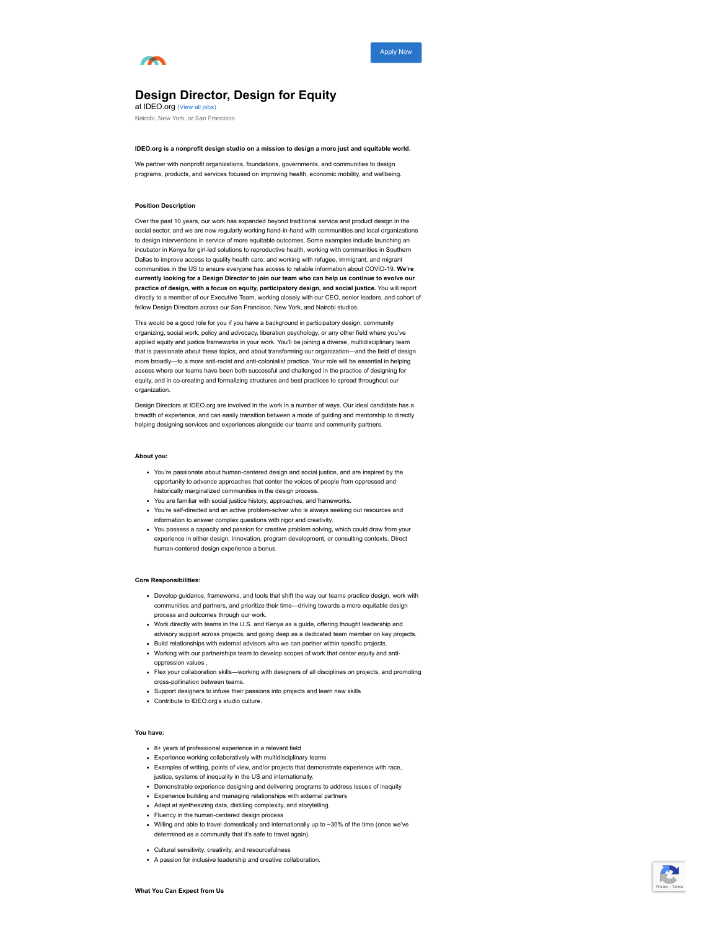

[Apply Now](#page-1-0)

# **Design Director, Design for Equity**

at IDEO.org [\(View all jobs\)](https://boards.greenhouse.io/ideoorg)

Nairobi, New York, or San Francisco

## **IDEO.org is a nonprofit design studio on a mission to design a more just and equitable world.**

We partner with nonprofit organizations, foundations, governments, and communities to design programs, products, and services focused on improving health, economic mobility, and wellbeing.

## **Position Description**

Over the past 10 years, our work has expanded beyond traditional service and product design in the social sector, and we are now regularly working hand-in-hand with communities and local organizations to design interventions in service of more equitable outcomes. Some examples include launching an incubator in Kenya for girl-led solutions to reproductive health, working with communities in Southern Dallas to improve access to quality health care, and working with refugee, immigrant, and migrant communities in the US to ensure everyone has access to reliable information about COVID-19. **We're currently looking for a Design Director to join our team who can help us continue to evolve our practice of design, with a focus on equity, participatory design, and social justice.** You will report directly to a member of our Executive Team, working closely with our CEO, senior leaders, and cohort of fellow Design Directors across our San Francisco, New York, and Nairobi studios.

This would be a good role for you if you have a background in participatory design, community organizing, social work, policy and advocacy, liberation psychology, or any other field where you've applied equity and justice frameworks in your work. You'll be joining a diverse, multidisciplinary team that is passionate about these topics, and about transforming our organization—and the field of design more broadly—to a more anti-racist and anti-colonialist practice. Your role will be essential in helping assess where our teams have been both successful and challenged in the practice of designing for equity, and in co-creating and formalizing structures and best practices to spread throughout our organization.

Design Directors at IDEO.org are involved in the work in a number of ways. Our ideal candidate has a breadth of experience, and can easily transition between a mode of guiding and mentorship to directly helping designing services and experiences alongside our teams and community partners.

#### **About you:**

- You're passionate about human-centered design and social justice, and are inspired by the opportunity to advance approaches that center the voices of people from oppressed and historically marginalized communities in the design process.
- You are familiar with social justice history, approaches, and frameworks.
- You're self-directed and an active problem-solver who is always seeking out resources and information to answer complex questions with rigor and creativity.
- You possess a capacity and passion for creative problem solving, which could draw from your experience in either design, innovation, program development, or consulting contexts. Direct human-centered design experience a bonus.

## **Core Responsibilities:**

- Develop guidance, frameworks, and tools that shift the way our teams practice design, work with communities and partners, and prioritize their time—driving towards a more equitable design process and outcomes through our work.
- Work directly with teams in the U.S. and Kenya as a guide, offering thought leadership and advisory support across projects, and going deep as a dedicated team member on key projects.
- Build relationships with external advisors who we can partner within specific projects. Working with our partnerships team to develop scopes of work that center equity and anti-
- oppression values .
- Flex your collaboration skills—working with designers of all disciplines on projects, and promoting cross-pollination between teams.
- Support designers to infuse their passions into projects and learn new skills
- Contribute to IDEO.org's studio culture.

#### **You have:**

- 8+ years of professional experience in a relevant field
- Experience working collaboratively with multidisciplinary teams
- Examples of writing, points of view, and/or projects that demonstrate experience with race, justice, systems of inequality in the US and internationally.
- Demonstrable experience designing and delivering programs to address issues of inequity
- Experience building and managing relationships with external partners
- Adept at synthesizing data, distilling complexity, and storytelling.
- Fluency in the human-centered design process
- Willing and able to travel domestically and internationally up to ~30% of the time (once we've determined as a community that it's safe to travel again).
- Cultural sensitivity, creativity, and resourcefulness
- A passion for inclusive leadership and creative collaboration.